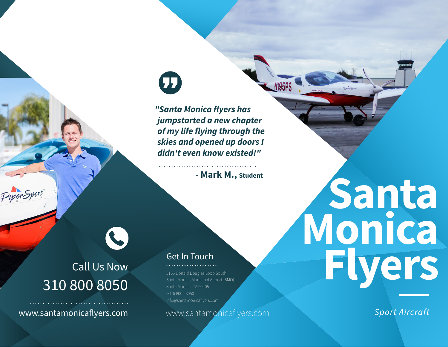## $\mathbf \Omega$

*"Santa Monica flyers has jumpstarted a new chapter of my life flying through the skies and opened up doors I didn't even know existed!"*

**- Mark M., Student**

## Call Us Now 310 800 8050

L

www.santamonicaflyers.com www.santamonicaflyers.com

## Get In Touch

3165 Donald Douglas Loop South Santa Monica Municipal Airport (SMO) Santa Monica, CA 90405 (310) 800 - 8050 info@santamonicaflyers.com

# **Santa Monica Flyers**

*Sport Aircraft*